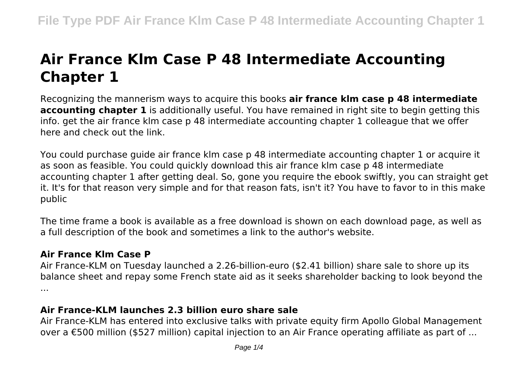# **Air France Klm Case P 48 Intermediate Accounting Chapter 1**

Recognizing the mannerism ways to acquire this books **air france klm case p 48 intermediate accounting chapter 1** is additionally useful. You have remained in right site to begin getting this info. get the air france klm case p 48 intermediate accounting chapter 1 colleague that we offer here and check out the link.

You could purchase guide air france klm case p 48 intermediate accounting chapter 1 or acquire it as soon as feasible. You could quickly download this air france klm case p 48 intermediate accounting chapter 1 after getting deal. So, gone you require the ebook swiftly, you can straight get it. It's for that reason very simple and for that reason fats, isn't it? You have to favor to in this make public

The time frame a book is available as a free download is shown on each download page, as well as a full description of the book and sometimes a link to the author's website.

# **Air France Klm Case P**

Air France-KLM on Tuesday launched a 2.26-billion-euro (\$2.41 billion) share sale to shore up its balance sheet and repay some French state aid as it seeks shareholder backing to look beyond the ...

#### **Air France-KLM launches 2.3 billion euro share sale**

Air France-KLM has entered into exclusive talks with private equity firm Apollo Global Management over a €500 million (\$527 million) capital injection to an Air France operating affiliate as part of ...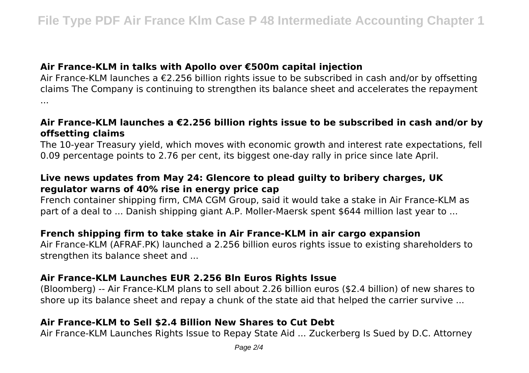## **Air France-KLM in talks with Apollo over €500m capital injection**

Air France-KLM launches a €2.256 billion rights issue to be subscribed in cash and/or by offsetting claims The Company is continuing to strengthen its balance sheet and accelerates the repayment ...

#### **Air France-KLM launches a €2.256 billion rights issue to be subscribed in cash and/or by offsetting claims**

The 10-year Treasury yield, which moves with economic growth and interest rate expectations, fell 0.09 percentage points to 2.76 per cent, its biggest one-day rally in price since late April.

# **Live news updates from May 24: Glencore to plead guilty to bribery charges, UK regulator warns of 40% rise in energy price cap**

French container shipping firm, CMA CGM Group, said it would take a stake in Air France-KLM as part of a deal to ... Danish shipping giant A.P. Moller-Maersk spent \$644 million last year to ...

# **French shipping firm to take stake in Air France-KLM in air cargo expansion**

Air France-KLM (AFRAF.PK) launched a 2.256 billion euros rights issue to existing shareholders to strengthen its balance sheet and ...

#### **Air France-KLM Launches EUR 2.256 Bln Euros Rights Issue**

(Bloomberg) -- Air France-KLM plans to sell about 2.26 billion euros (\$2.4 billion) of new shares to shore up its balance sheet and repay a chunk of the state aid that helped the carrier survive ...

## **Air France-KLM to Sell \$2.4 Billion New Shares to Cut Debt**

Air France-KLM Launches Rights Issue to Repay State Aid ... Zuckerberg Is Sued by D.C. Attorney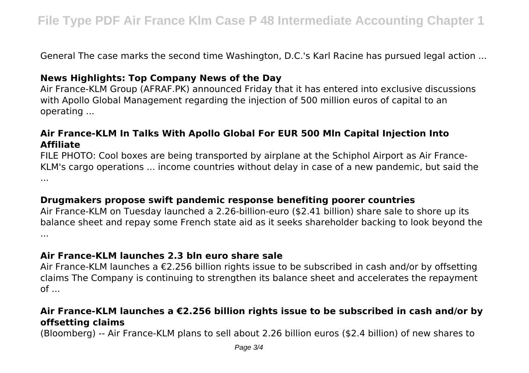General The case marks the second time Washington, D.C.'s Karl Racine has pursued legal action ...

## **News Highlights: Top Company News of the Day**

Air France-KLM Group (AFRAF.PK) announced Friday that it has entered into exclusive discussions with Apollo Global Management regarding the injection of 500 million euros of capital to an operating ...

## **Air France-KLM In Talks With Apollo Global For EUR 500 Mln Capital Injection Into Affiliate**

FILE PHOTO: Cool boxes are being transported by airplane at the Schiphol Airport as Air France-KLM's cargo operations ... income countries without delay in case of a new pandemic, but said the ...

#### **Drugmakers propose swift pandemic response benefiting poorer countries**

Air France-KLM on Tuesday launched a 2.26-billion-euro (\$2.41 billion) share sale to shore up its balance sheet and repay some French state aid as it seeks shareholder backing to look beyond the ...

## **Air France-KLM launches 2.3 bln euro share sale**

Air France-KLM launches a €2.256 billion rights issue to be subscribed in cash and/or by offsetting claims The Company is continuing to strengthen its balance sheet and accelerates the repayment  $of \dots$ 

## **Air France-KLM launches a €2.256 billion rights issue to be subscribed in cash and/or by offsetting claims**

(Bloomberg) -- Air France-KLM plans to sell about 2.26 billion euros (\$2.4 billion) of new shares to